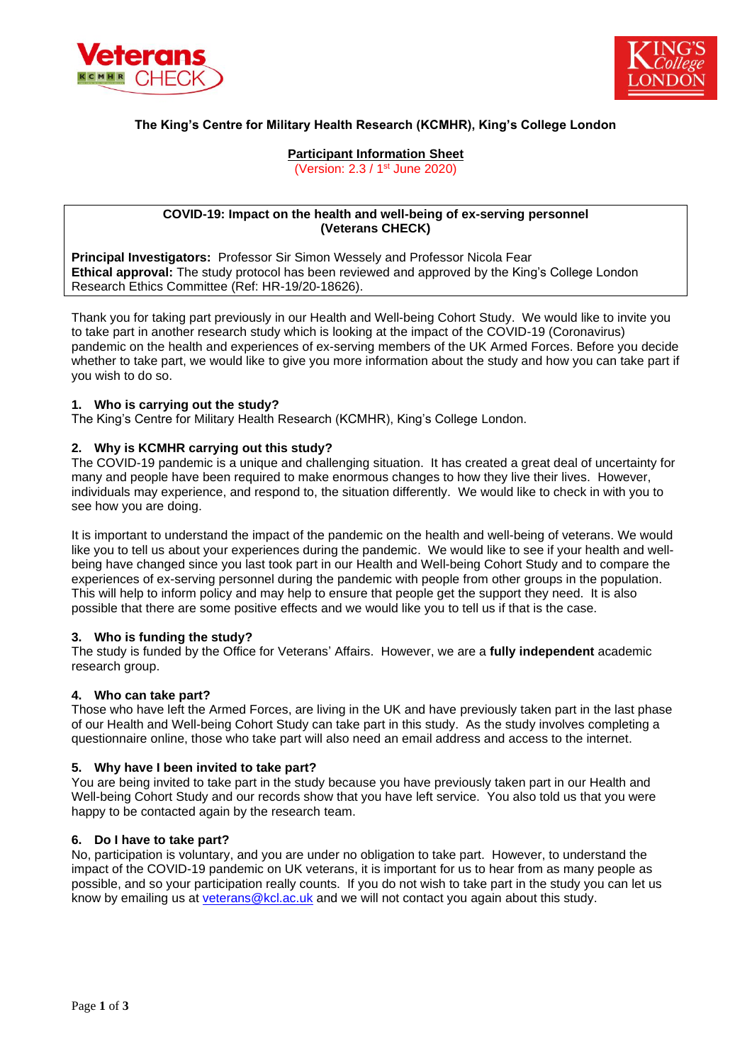



# **The King's Centre for Military Health Research (KCMHR), King's College London**

## **Participant Information Sheet** (Version: 2.3 / 1<sup>st</sup> June 2020)

## **COVID-19: Impact on the health and well-being of ex-serving personnel (Veterans CHECK)**

**Principal Investigators:** Professor Sir Simon Wessely and Professor Nicola Fear **Ethical approval:** The study protocol has been reviewed and approved by the King's College London Research Ethics Committee (Ref: HR-19/20-18626).

Thank you for taking part previously in our Health and Well-being Cohort Study. We would like to invite you to take part in another research study which is looking at the impact of the COVID-19 (Coronavirus) pandemic on the health and experiences of ex-serving members of the UK Armed Forces. Before you decide whether to take part, we would like to give you more information about the study and how you can take part if you wish to do so.

## **1. Who is carrying out the study?**

The King's Centre for Military Health Research (KCMHR), King's College London.

## **2. Why is KCMHR carrying out this study?**

The COVID-19 pandemic is a unique and challenging situation. It has created a great deal of uncertainty for many and people have been required to make enormous changes to how they live their lives. However, individuals may experience, and respond to, the situation differently. We would like to check in with you to see how you are doing.

It is important to understand the impact of the pandemic on the health and well-being of veterans. We would like you to tell us about your experiences during the pandemic. We would like to see if your health and wellbeing have changed since you last took part in our Health and Well-being Cohort Study and to compare the experiences of ex-serving personnel during the pandemic with people from other groups in the population. This will help to inform policy and may help to ensure that people get the support they need. It is also possible that there are some positive effects and we would like you to tell us if that is the case.

## **3. Who is funding the study?**

The study is funded by the Office for Veterans' Affairs. However, we are a **fully independent** academic research group.

## **4. Who can take part?**

Those who have left the Armed Forces, are living in the UK and have previously taken part in the last phase of our Health and Well-being Cohort Study can take part in this study. As the study involves completing a questionnaire online, those who take part will also need an email address and access to the internet.

## **5. Why have I been invited to take part?**

You are being invited to take part in the study because you have previously taken part in our Health and Well-being Cohort Study and our records show that you have left service. You also told us that you were happy to be contacted again by the research team.

## **6. Do I have to take part?**

No, participation is voluntary, and you are under no obligation to take part. However, to understand the impact of the COVID-19 pandemic on UK veterans, it is important for us to hear from as many people as possible, and so your participation really counts. If you do not wish to take part in the study you can let us know by emailing us at [veterans@kcl.ac.uk](mailto:veterans@kcl.ac.uk) and we will not contact you again about this study.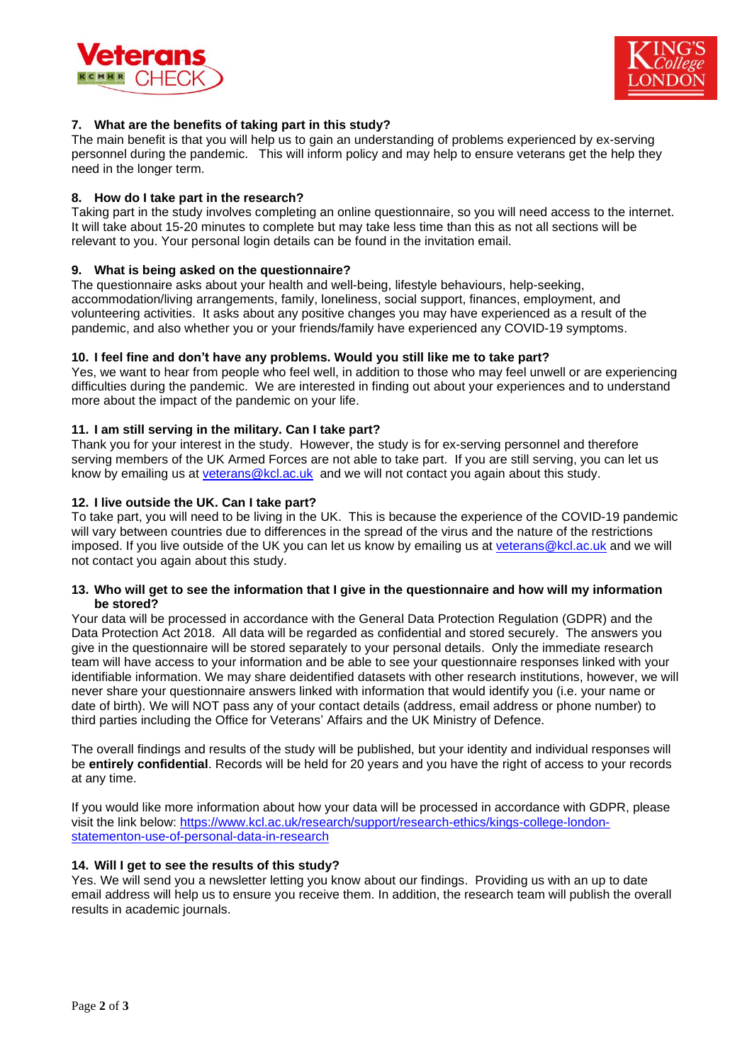



## **7. What are the benefits of taking part in this study?**

The main benefit is that you will help us to gain an understanding of problems experienced by ex-serving personnel during the pandemic. This will inform policy and may help to ensure veterans get the help they need in the longer term.

## **8. How do I take part in the research?**

Taking part in the study involves completing an online questionnaire, so you will need access to the internet. It will take about 15-20 minutes to complete but may take less time than this as not all sections will be relevant to you. Your personal login details can be found in the invitation email.

## **9. What is being asked on the questionnaire?**

The questionnaire asks about your health and well-being, lifestyle behaviours, help-seeking, accommodation/living arrangements, family, loneliness, social support, finances, employment, and volunteering activities. It asks about any positive changes you may have experienced as a result of the pandemic, and also whether you or your friends/family have experienced any COVID-19 symptoms.

## **10. I feel fine and don't have any problems. Would you still like me to take part?**

Yes, we want to hear from people who feel well, in addition to those who may feel unwell or are experiencing difficulties during the pandemic. We are interested in finding out about your experiences and to understand more about the impact of the pandemic on your life.

## **11. I am still serving in the military. Can I take part?**

Thank you for your interest in the study. However, the study is for ex-serving personnel and therefore serving members of the UK Armed Forces are not able to take part. If you are still serving, you can let us know by emailing us at [veterans@kcl.ac.uk](mailto:veterans@kcl.ac.uk) and we will not contact you again about this study.

## **12. I live outside the UK. Can I take part?**

To take part, you will need to be living in the UK. This is because the experience of the COVID-19 pandemic will vary between countries due to differences in the spread of the virus and the nature of the restrictions imposed. If you live outside of the UK you can let us know by emailing us at [veterans@kcl.ac.uk](mailto:veterans@kcl.ac.uk) and we will not contact you again about this study.

## **13. Who will get to see the information that I give in the questionnaire and how will my information be stored?**

Your data will be processed in accordance with the General Data Protection Regulation (GDPR) and the Data Protection Act 2018. All data will be regarded as confidential and stored securely. The answers you give in the questionnaire will be stored separately to your personal details. Only the immediate research team will have access to your information and be able to see your questionnaire responses linked with your identifiable information. We may share deidentified datasets with other research institutions, however, we will never share your questionnaire answers linked with information that would identify you (i.e. your name or date of birth). We will NOT pass any of your contact details (address, email address or phone number) to third parties including the Office for Veterans' Affairs and the UK Ministry of Defence.

The overall findings and results of the study will be published, but your identity and individual responses will be **entirely confidential**. Records will be held for 20 years and you have the right of access to your records at any time.

If you would like more information about how your data will be processed in accordance with GDPR, please visit the link below: [https://www.kcl.ac.uk/research/support/research-ethics/kings-college-london](https://www.kcl.ac.uk/research/support/research-ethics/kings-college-london-statementon-use-of-personal-data-in-research)[statementon-use-of-personal-data-in-research](https://www.kcl.ac.uk/research/support/research-ethics/kings-college-london-statementon-use-of-personal-data-in-research)

## **14. Will I get to see the results of this study?**

Yes. We will send you a newsletter letting you know about our findings. Providing us with an up to date email address will help us to ensure you receive them. In addition, the research team will publish the overall results in academic journals.